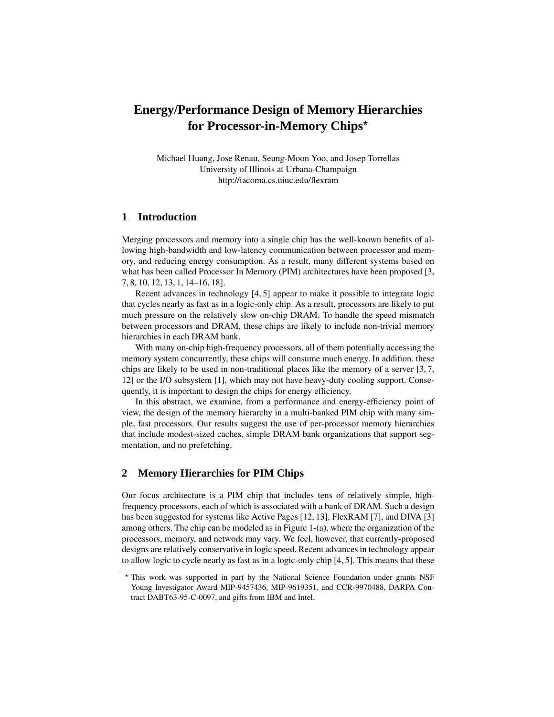# **Energy/Performance Design of Memory Hierarchies for Processor-in-Memory Chips**

Michael Huang, Jose Renau, Seung-Moon Yoo, and Josep Torrellas University of Illinois at Urbana-Champaign http://iacoma.cs.uiuc.edu/flexram

### **1 Introduction**

Merging processors and memory into a single chip has the well-known benefits of allowing high-bandwidth and low-latency communication between processor and memory, and reducing energy consumption. As a result, many different systems based on what has been called Processor In Memory (PIM) architectures have been proposed [3, 7, 8, 10, 12, 13, 1, 14–16, 18].

Recent advances in technology [4, 5] appear to make it possible to integrate logic that cycles nearly as fast as in a logic-only chip. As a result, processors are likely to put much pressure on the relatively slow on-chip DRAM. To handle the speed mismatch between processors and DRAM, these chips are likely to include non-trivial memory hierarchies in each DRAM bank.

With many on-chip high-frequency processors, all of them potentially accessing the memory system concurrently, these chips will consume much energy. In addition, these chips are likely to be used in non-traditional places like the memory of a server [3, 7, 12] or the I/O subsystem [1], which may not have heavy-duty cooling support. Consequently, it is important to design the chips for energy efficiency.

In this abstract, we examine, from a performance and energy-efficiency point of view, the design of the memory hierarchy in a multi-banked PIM chip with many simple, fast processors. Our results suggest the use of per-processor memory hierarchies that include modest-sized caches, simple DRAM bank organizations that support segmentation, and no prefetching.

## **2 Memory Hierarchies for PIM Chips**

Our focus architecture is a PIM chip that includes tens of relatively simple, highfrequency processors, each of which is associated with a bank of DRAM. Such a design has been suggested for systems like Active Pages [12, 13], FlexRAM [7], and DIVA [3] among others. The chip can be modeled as in Figure 1-(a), where the organization of the processors, memory, and network may vary. We feel, however, that currently-proposed designs are relatively conservative in logic speed. Recent advancesin technology appear to allow logic to cycle nearly as fast as in a logic-only chip [4, 5]. This means that these

This work was supported in part by the National Science Foundation under grants NSF Young Investigator Award MIP-9457436, MIP-9619351, and CCR-9970488, DARPA Contract DABT63-95-C-0097, and gifts from IBM and Intel.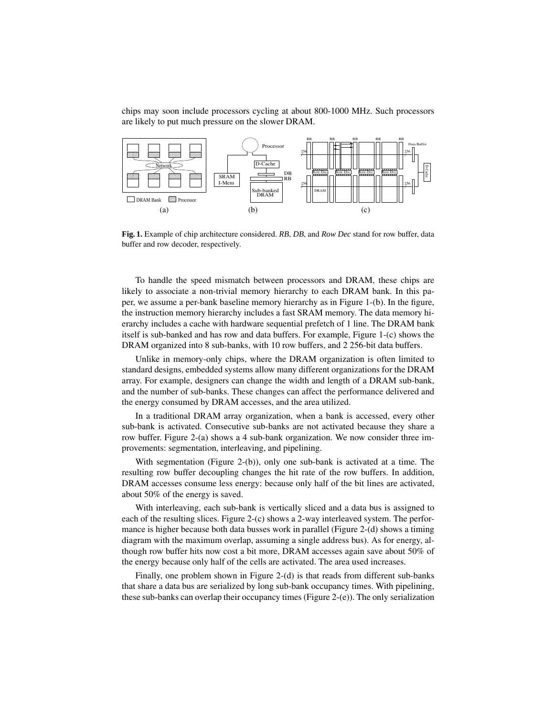chips may soon include processors cycling at about 800-1000 MHz. Such processors are likely to put much pressure on the slower DRAM.



**Fig. 1.** Example of chip architecture considered. *RB*, *DB*, and *Row Dec* stand for row buffer, data buffer and row decoder, respectively.

To handle the speed mismatch between processors and DRAM, these chips are likely to associate a non-trivial memory hierarchy to each DRAM bank. In this paper, we assume a per-bank baseline memory hierarchy as in Figure 1-(b). In the figure, the instruction memory hierarchy includes a fast SRAM memory. The data memory hierarchy includes a cache with hardware sequential prefetch of 1 line. The DRAM bank itself is sub-banked and has row and data buffers. For example, Figure 1-(c) shows the DRAM organized into 8 sub-banks, with 10 row buffers, and 2 256-bit data buffers.

Unlike in memory-only chips, where the DRAM organization is often limited to standard designs, embedded systems allow many different organizations for the DRAM array. For example, designers can change the width and length of a DRAM sub-bank, and the number of sub-banks. These changes can affect the performance delivered and the energy consumed by DRAM accesses, and the area utilized.

In a traditional DRAM array organization, when a bank is accessed, every other sub-bank is activated. Consecutive sub-banks are not activated because they share a row buffer. Figure 2-(a) shows a 4 sub-bank organization. We now consider three improvements: segmentation, interleaving, and pipelining.

With segmentation (Figure 2-(b)), only one sub-bank is activated at a time. The resulting row buffer decoupling changes the hit rate of the row buffers. In addition, DRAM accesses consume less energy: because only half of the bit lines are activated, about 50% of the energy is saved.

With interleaving, each sub-bank is vertically sliced and a data bus is assigned to each of the resulting slices. Figure 2-(c) shows a 2-way interleaved system. The performance is higher because both data busses work in parallel (Figure 2-(d) shows a timing diagram with the maximum overlap, assuming a single address bus). As for energy, although row buffer hits now cost a bit more, DRAM accesses again save about 50% of the energy because only half of the cells are activated. The area used increases.

Finally, one problem shown in Figure 2-(d) is that reads from different sub-banks that share a data bus are serialized by long sub-bank occupancy times. With pipelining, these sub-banks can overlap their occupancy times (Figure 2-(e)). The only serialization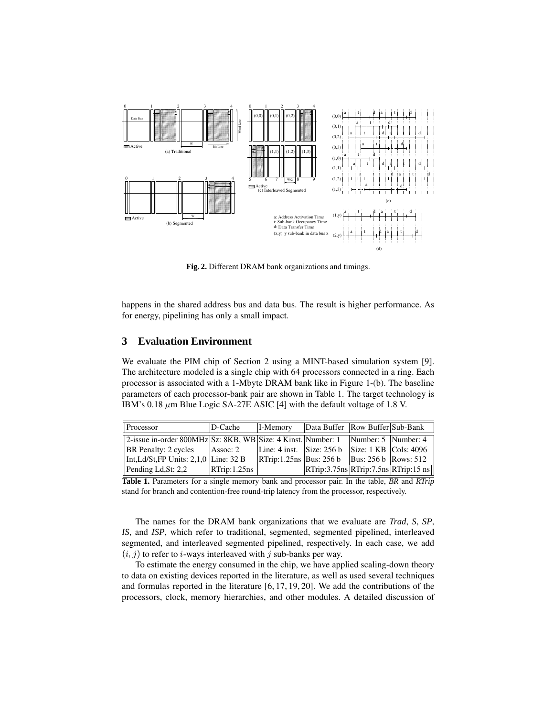

**Fig. 2.** Different DRAM bank organizations and timings.

happens in the shared address bus and data bus. The result is higher performance. As for energy, pipelining has only a small impact.

#### **3 Evaluation Environment**

We evaluate the PIM chip of Section 2 using a MINT-based simulation system [9]. The architecture modeled is a single chip with 64 processors connected in a ring. Each processor is associated with a 1-Mbyte DRAM bank like in Figure 1-(b). The baseline parameters of each processor-bank pair are shown in Table 1. The target technology is IBM's 0.18  $\mu$ m Blue Logic SA-27E ASIC [4] with the default voltage of 1.8 V.

| Processor                                                                            | D-Cache      | I-Memory                                          | Data Buffer   Row Buffer   Sub-Bank                                     |  |
|--------------------------------------------------------------------------------------|--------------|---------------------------------------------------|-------------------------------------------------------------------------|--|
| 2-issue in-order 800MHz Sz: 8KB, WB Size: 4 Kinst. Number: 1   Number: 5   Number: 4 |              |                                                   |                                                                         |  |
| <b>BR</b> Penalty: 2 cycles                                                          | Assoc: 2     | Line: 4 inst. Size: $256 b$ Size: 1 KB Cols: 4096 |                                                                         |  |
| $\left  \right $ Int,Ld/St,FP Units: 2,1,0 Line: 32 B                                |              | $ RTrip:1.25ns Bus: 256 b  Bus: 256 b Rows: 512 $ |                                                                         |  |
| $\blacksquare$ Pending Ld, St: 2,2                                                   | RTrip:1.25ns |                                                   | $\overline{\text{RTrip:3.75ns} \text{RTrip:7.5ns} \text{RTrip:15 ns} }$ |  |

**Table 1.** Parameters for a single memory bank and processor pair. In the table, *BR* and *RTrip* stand for branch and contention-free round-trip latency from the processor, respectively.

The names for the DRAM bank organizations that we evaluate are *Trad*, *S*, *SP*, *IS*, and *ISP*, which refer to traditional, segmented, segmented pipelined, interleaved segmented, and interleaved segmented pipelined, respectively. In each case, we add  $(i, j)$  to refer to *i*-ways interleaved with j sub-banks per way.

To estimate the energy consumed in the chip, we have applied scaling-down theory to data on existing devices reported in the literature, as well as used several techniques and formulas reported in the literature [6, 17, 19, 20]. We add the contributions of the processors, clock, memory hierarchies, and other modules. A detailed discussion of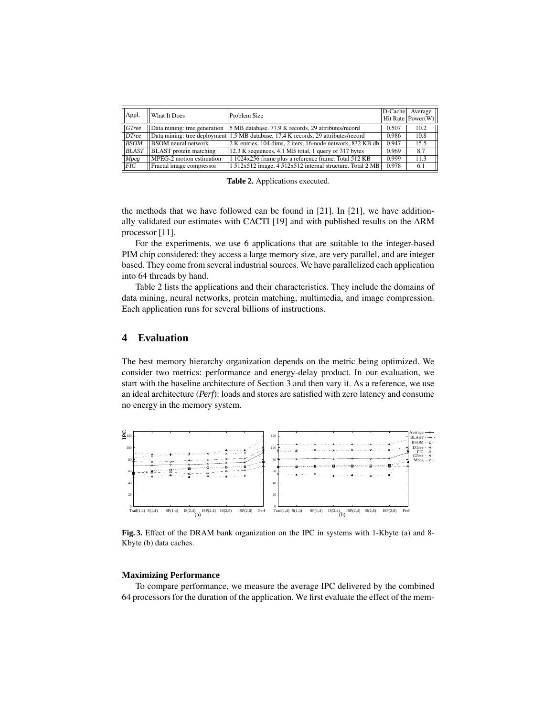| Appl.        | <b>What It Does</b>           | Problem Size                                                                       |       | D-Cache Average<br>Hit Rate $Power(W)$ |
|--------------|-------------------------------|------------------------------------------------------------------------------------|-------|----------------------------------------|
| GTree        | Data mining: tree generation  | 5 MB database, 77.9 K records, 29 attributes/record                                | 0.507 | 10.2                                   |
| DTree        |                               | Data mining: tree deployment 1.5 MB database, 17.4 K records, 29 attributes/record | 0.986 | 10.8                                   |
| <b>BSOM</b>  | <b>BSOM</b> neural network    | 2 K entries, 104 dims, 2 iters, 16-node network, 832 KB db                         | 0.947 | 15.5                                   |
| <b>BLAST</b> | <b>BLAST</b> protein matching | 12.3 K sequences, 4.1 MB total, 1 query of 317 bytes                               | 0.969 | 8.7                                    |
| <b>Mpeg</b>  | MPEG-2 motion estimation      | 1 1024x256 frame plus a reference frame. Total 512 KB                              | 0.999 | 11.3                                   |
| FIC          | Fractal image compressor      | 1 512x512 image, 4 512x512 internal structure. Total 2 MB                          | 0.978 | 6.1                                    |

**Table 2.** Applications executed.

the methods that we have followed can be found in [21]. In [21], we have additionally validated our estimates with CACTI [19] and with published results on the ARM processor [11].

For the experiments, we use 6 applications that are suitable to the integer-based PIM chip considered: they access a large memory size, are very parallel, and are integer based. They come from several industrial sources. We have parallelized each application into 64 threads by hand.

Table 2 lists the applications and their characteristics. They include the domains of data mining, neural networks, protein matching, multimedia, and image compression. Each application runs for several billions of instructions.

# **4 Evaluation**

The best memory hierarchy organization depends on the metric being optimized. We consider two metrics: performance and energy-delay product. In our evaluation, we start with the baseline architecture of Section 3 and then vary it. As a reference, we use an ideal architecture (*Perf*): loads and stores are satisfied with zero latency and consume no energy in the memory system.



**Fig. 3.** Effect of the DRAM bank organization on the IPC in systems with 1-Kbyte (a) and 8- Kbyte (b) data caches.

#### **Maximizing Performance**

To compare performance, we measure the average IPC delivered by the combined 64 processors for the duration of the application. We first evaluate the effect of the mem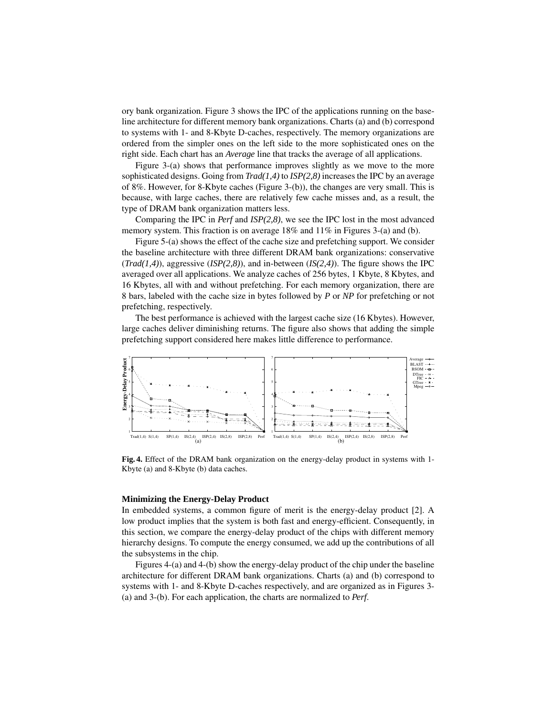ory bank organization. Figure 3 shows the IPC of the applications running on the baseline architecture for different memory bank organizations. Charts (a) and (b) correspond to systems with 1- and 8-Kbyte D-caches, respectively. The memory organizations are ordered from the simpler ones on the left side to the more sophisticated ones on the right side. Each chart has an *Average* line that tracks the average of all applications.

Figure 3-(a) shows that performance improves slightly as we move to the more sophisticated designs. Going from *Trad(1,4)* to *ISP(2,8)* increasesthe IPC by an average of 8%. However, for 8-Kbyte caches (Figure 3-(b)), the changes are very small. This is because, with large caches, there are relatively few cache misses and, as a result, the type of DRAM bank organization matters less.

Comparing the IPC in *Perf* and *ISP(2,8)*, we see the IPC lost in the most advanced memory system. This fraction is on average 18% and 11% in Figures 3-(a) and (b).

Figure 5-(a) shows the effect of the cache size and prefetching support. We consider the baseline architecture with three different DRAM bank organizations: conservative (*Trad(1,4)*), aggressive (*ISP(2,8)*), and in-between (*IS(2,4)*). The figure shows the IPC averaged over all applications. We analyze caches of 256 bytes, 1 Kbyte, 8 Kbytes, and 16 Kbytes, all with and without prefetching. For each memory organization, there are 8 bars, labeled with the cache size in bytes followed by *P* or *NP* for prefetching or not prefetching, respectively.

The best performance is achieved with the largest cache size (16 Kbytes). However, large caches deliver diminishing returns. The figure also shows that adding the simple prefetching support considered here makes little difference to performance.



**Fig. 4.** Effect of the DRAM bank organization on the energy-delay product in systems with 1- Kbyte (a) and 8-Kbyte (b) data caches.

#### **Minimizing the Energy-Delay Product**

In embedded systems, a common figure of merit is the energy-delay product [2]. A low product implies that the system is both fast and energy-efficient. Consequently, in this section, we compare the energy-delay product of the chips with different memory hierarchy designs. To compute the energy consumed, we add up the contributions of all the subsystems in the chip.

Figures 4-(a) and 4-(b) show the energy-delay product of the chip under the baseline architecture for different DRAM bank organizations. Charts (a) and (b) correspond to systems with 1- and 8-Kbyte D-caches respectively, and are organized as in Figures 3- (a) and 3-(b). For each application, the charts are normalized to *Perf*.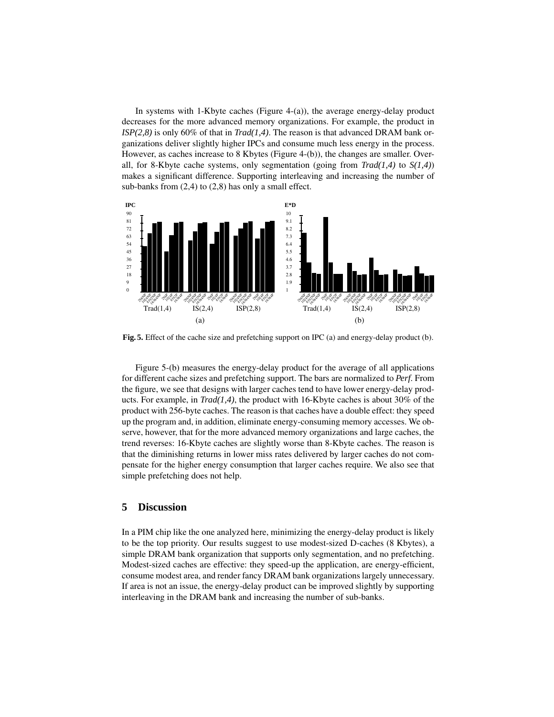In systems with 1-Kbyte caches (Figure 4-(a)), the average energy-delay product decreases for the more advanced memory organizations. For example, the product in *ISP(2,8)* is only 60% of that in *Trad(1,4)*. The reason is that advanced DRAM bank organizations deliver slightly higher IPCs and consume much less energy in the process. However, as caches increase to 8 Kbytes (Figure 4-(b)), the changes are smaller. Overall, for 8-Kbyte cache systems, only segmentation (going from *Trad(1,4)* to *S(1,4)*) makes a significant difference. Supporting interleaving and increasing the number of sub-banks from (2,4) to (2,8) has only a small effect.



**Fig. 5.** Effect of the cache size and prefetching support on IPC (a) and energy-delay product (b).

Figure 5-(b) measures the energy-delay product for the average of all applications for different cache sizes and prefetching support. The bars are normalized to *Perf*. From the figure, we see that designs with larger caches tend to have lower energy-delay products. For example, in *Trad(1,4)*, the product with 16-Kbyte caches is about 30% of the product with 256-byte caches. The reason is that caches have a double effect: they speed up the program and, in addition, eliminate energy-consuming memory accesses. We observe, however, that for the more advanced memory organizations and large caches, the trend reverses: 16-Kbyte caches are slightly worse than 8-Kbyte caches. The reason is that the diminishing returns in lower miss rates delivered by larger caches do not compensate for the higher energy consumption that larger caches require. We also see that simple prefetching does not help.

# **5 Discussion**

In a PIM chip like the one analyzed here, minimizing the energy-delay product is likely to be the top priority. Our results suggest to use modest-sized D-caches (8 Kbytes), a simple DRAM bank organization that supports only segmentation, and no prefetching. Modest-sized caches are effective: they speed-up the application, are energy-efficient, consume modest area, and render fancy DRAM bank organizations largely unnecessary. If area is not an issue, the energy-delay product can be improved slightly by supporting interleaving in the DRAM bank and increasing the number of sub-banks.